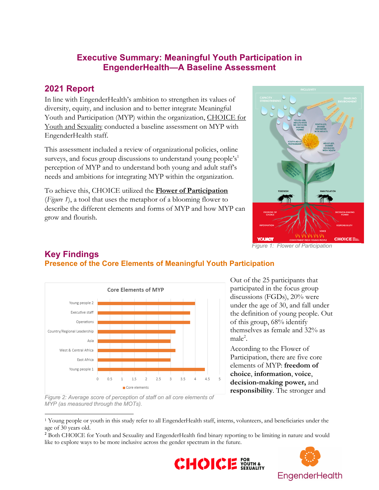## **Executive Summary: Meaningful Youth Participation in EngenderHealth—A Baseline Assessment**

### **2021 Report**

In line with EngenderHealth's ambition to strengthen its values of diversity, equity, and inclusion and to better integrate Meaningful Youth and Participation (MYP) within the organization, CHOICE for Youth and Sexuality conducted a baseline assessment on MYP with EngenderHealth staff.

This assessment included a review of organizational policies, online surveys, and focus group discussions to understand young people's $1$ perception of MYP and to understand both young and adult staff's needs and ambitions for integrating MYP within the organization.

To achieve this, CHOICE utilized the **Flower of Participation** (*Figure 1*), a tool that uses the metaphor of a blooming flower to describe the different elements and forms of MYP and how MYP can grow and flourish.



*Figure 1: Flower of Participation*



#### **Key Findings Presence of the Core Elements of Meaningful Youth Participation**

Out of the 25 participants that participated in the focus group discussions (FGDs), 20% were under the age of 30, and fall under the definition of young people. Out of this group, 68% identify themselves as female and 32% as  $male<sup>2</sup>$ .

According to the Flower of Participation, there are five core elements of MYP: **freedom of choice**, **information**, **voice**, **decision-making power,** and **responsibility**. The stronger and

*Figure 2: Average score of perception of staff on all core elements of MYP (as measured through the MOTs).*

<sup>1</sup> Young people or youth in this study refer to all EngenderHealth staff, interns, volunteers, and beneficiaries under the age of 30 years old.

<sup>2</sup> Both CHOICE for Youth and Sexuality and EngenderHealth find binary reporting to be limiting in nature and would like to explore ways to be more inclusive across the gender spectrum in the future.



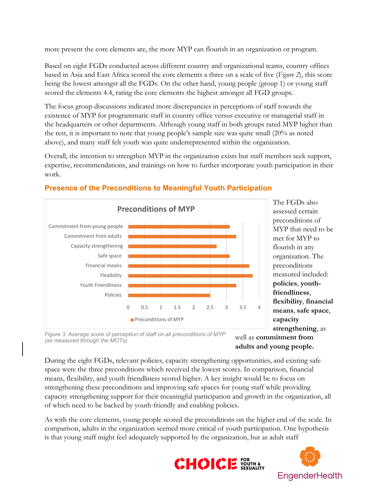more present the core elements are, the more MYP can flourish in an organization or program.

Based on eight FGDs conducted across different country and organizational teams, country offices based in Asia and East Africa scored the core elements a three on a scale of five (*Figure 2*), this score being the lowest amongst all the FGDs. On the other hand, young people (group 1) or young staff scored the elements 4.4, rating the core elements the highest amongst all FGD groups.

The focus group discussions indicated more discrepancies in perceptions of staff towards the existence of MYP for programmatic staff in country office versus executive or managerial staff in the headquarters or other departments. Although young staff in both groups rated MYP higher than the rest, it is important to note that young people's sample size was quite small (20% as noted above), and many staff felt youth was quite underrepresented within the organization.

Overall, the intention to strengthen MYP in the organization exists but staff members seek support, expertise, recommendations, and trainings on how to further incorporate youth participation in their work.



### **Presence of the Preconditions to Meaningful Youth Participation**

The FGDs also assessed certain preconditions of MYP that need to be met for MYP to flourish in any organization. The preconditions measured included: **policies**, **youthfriendliness**, **flexibility**, **financial means**, **safe space**, **capacity strengthening**, as

*Figure 3: Average score of perception of staff on all preconditions of MYP (as measured through the MOTs).*

well as **commitment from adults and young people.**

During the eight FGDs, relevant policies, capacity strengthening opportunities, and existing safe space were the three preconditions which received the lowest scores. In comparison, financial means, flexibility, and youth friendliness scored higher. A key insight would be to focus on strengthening these preconditions and improving safe spaces for young staff while providing capacity strengthening support for their meaningful participation and growth in the organization, all of which need to be backed by youth-friendly and enabling policies.

As with the core elements, young people scored the preconditions on the higher end of the scale. In comparison, adults in the organization seemed more critical of youth participation. One hypothesis is that young staff might feel adequately supported by the organization, but as adult staff



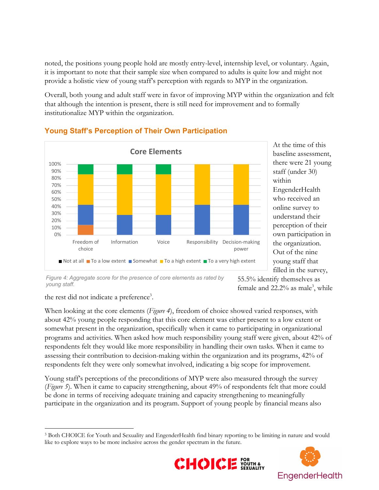noted, the positions young people hold are mostly entry-level, internship level, or voluntary. Again, it is important to note that their sample size when compared to adults is quite low and might not provide a holistic view of young staff's perception with regards to MYP in the organization.

Overall, both young and adult staff were in favor of improving MYP within the organization and felt that although the intention is present, there is still need for improvement and to formally institutionalize MYP within the organization.



#### **Young Staff's Perception of Their Own Participation**

At the time of this baseline assessment, there were 21 young staff (under 30) within EngenderHealth who received an online survey to understand their perception of their own participation in the organization. Out of the nine young staff that filled in the survey,

*Figure 4: Aggregate score for the presence of core elements as rated by young staff.* 

55.5% identify themselves as female and  $22.2\%$  as male<sup>3</sup>, while

the rest did not indicate a preference<sup>3</sup>.

When looking at the core elements (*Figure 4*), freedom of choice showed varied responses, with about 42% young people responding that this core element was either present to a low extent or somewhat present in the organization, specifically when it came to participating in organizational programs and activities. When asked how much responsibility young staff were given, about 42% of respondents felt they would like more responsibility in handling their own tasks. When it came to assessing their contribution to decision-making within the organization and its programs, 42% of respondents felt they were only somewhat involved, indicating a big scope for improvement.

Young staff's perceptions of the preconditions of MYP were also measured through the survey (*Figure 5*). When it came to capacity strengthening, about 49% of respondents felt that more could be done in terms of receiving adequate training and capacity strengthening to meaningfully participate in the organization and its program. Support of young people by financial means also

<sup>3</sup> Both CHOICE for Youth and Sexuality and EngenderHealth find binary reporting to be limiting in nature and would like to explore ways to be more inclusive across the gender spectrum in the future.



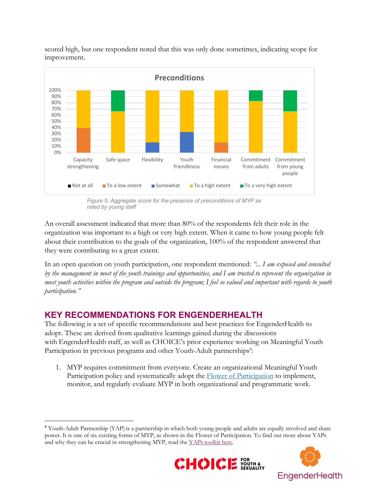

scored high, but one respondent noted that this was only done sometimes, indicating scope for improvement.

*rated by young staff*

An overall assessment indicated that more than 80% of the respondents felt their role in the organization was important to a high or very high extent. When it came to how young people felt about their contribution to the goals of the organization, 100% of the respondent answered that they were contributing to a great extent.

In an open question on youth participation, one respondent mentioned: *"... I am exposed and consulted by the management in most of the youth trainings and opportunities, and I am trusted to represent the organization in most youth activities within the program and outside the program; I feel so valued and important with regards to youth participation."*

### **KEY RECOMMENDATIONS FOR ENGENDERHEALTH**

The following is a set of specific recommendations and best practices for EngenderHealth to adopt. These are derived from qualitative learnings gained during the discussions with EngenderHealth staff, as well as CHOICE's prior experience working on Meaningful Youth Participation in previous programs and other Youth-Adult partnerships<sup>4</sup>:

1. MYP requires commitment from everyone. Create an organizational Meaningful Youth Participation policy and systematically adopt the **Flower** of Participation to implement, monitor, and regularly evaluate MYP in both organizational and programmatic work.

<sup>4</sup> Youth-Adult Partnership (YAP) is a partnership in which both young people and adults are equally involved and share power. It is one of six existing forms of MYP, as shown in the Flower of Participation. To find out more about YAPs and why they can be crucial in strengthening MYP, read the YAPs toolkit here.



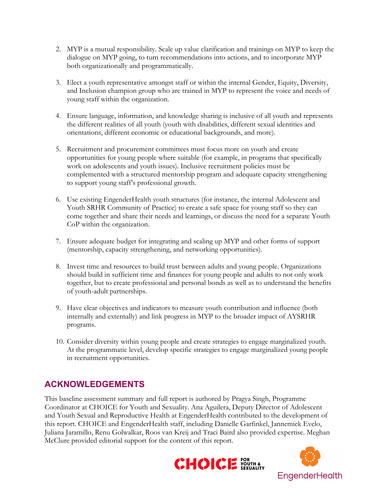- 2. MYP is a mutual responsibility. Scale up value clarification and trainings on MYP to keep the dialogue on MYP going, to turn recommendations into actions, and to incorporate MYP both organizationally and programmatically.
- 3. Elect a youth representative amongst staff or within the internal Gender, Equity, Diversity, and Inclusion champion group who are trained in MYP to represent the voice and needs of young staff within the organization.
- 4. Ensure language, information, and knowledge sharing is inclusive of all youth and represents the different realities of all youth (youth with disabilities, different sexual identities and orientations, different economic or educational backgrounds, and more).
- 5. Recruitment and procurement committees must focus more on youth and create opportunities for young people where suitable (for example, in programs that specifically work on adolescents and youth issues). Inclusive recruitment policies must be complemented with a structured mentorship program and adequate capacity strengthening to support young staff's professional growth.
- 6. Use existing EngenderHealth youth structures (for instance, the internal Adolescent and Youth SRHR Community of Practice) to create a safe space for young staff so they can come together and share their needs and learnings, or discuss the need for a separate Youth CoP within the organization.
- 7. Ensure adequate budget for integrating and scaling up MYP and other forms of support (mentorship, capacity strengthening, and networking opportunities).
- 8. Invest time and resources to build trust between adults and young people. Organizations should build in sufficient time and finances for young people and adults to not only work together, but to create professional and personal bonds as well as to understand the benefits of youth-adult partnerships.
- 9. Have clear objectives and indicators to measure youth contribution and influence (both internally and externally) and link progress in MYP to the broader impact of AYSRHR programs.
- 10. Consider diversity within young people and create strategies to engage marginalized youth. At the programmatic level, develop specific strategies to engage marginalized young people in recruitment opportunities.

# **ACKNOWLEDGEMENTS**

This baseline assessment summary and full report is authored by Pragya Singh, Programme Coordinator at CHOICE for Youth and Sexuality. Ana Aguilera, Deputy Director of Adolescent and Youth Sexual and Reproductive Health at EngenderHealth contributed to the development of this report. CHOICE and EngenderHealth staff, including Danielle Garfinkel, Jannemiek Evelo, Juliana Jaramillo, Renu Golwalkar, Roos van Kreij and Traci Baird also provided expertise. Meghan McClure provided editorial support for the content of this report.